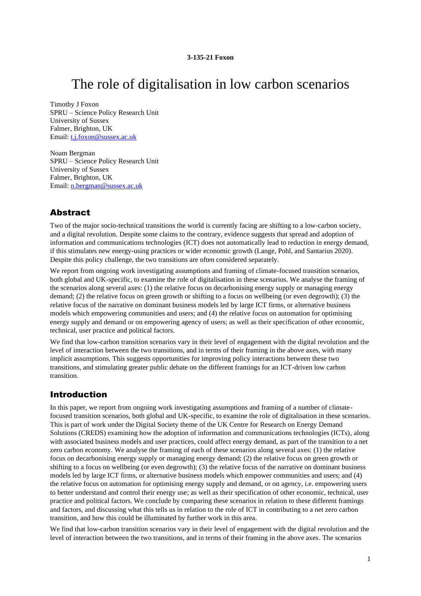# The role of digitalisation in low carbon scenarios

Timothy J Foxon SPRU – Science Policy Research Unit University of Sussex Falmer, Brighton, UK Email: [t.j.foxon@sussex.ac.uk](mailto:t.j.foxon@sussex.ac.uk)

Noam Bergman SPRU – Science Policy Research Unit University of Sussex Falmer, Brighton, UK Email: [n.bergman@sussex.ac.uk](mailto:n.bergman@sussex.ac.uk)

# Abstract

Two of the major socio-technical transitions the world is currently facing are shifting to a low-carbon society, and a digital revolution. Despite some claims to the contrary, evidence suggests that spread and adoption of information and communications technologies (ICT) does not automatically lead to reduction in energy demand, if this stimulates new energy-using practices or wider economic growth (Lange, Pohl, and Santarius 2020). Despite this policy challenge, the two transitions are often considered separately.

We report from ongoing work investigating assumptions and framing of climate-focused transition scenarios, both global and UK-specific, to examine the role of digitalisation in these scenarios. We analyse the framing of the scenarios along several axes: (1) the relative focus on decarbonising energy supply or managing energy demand; (2) the relative focus on green growth or shifting to a focus on wellbeing (or even degrowth); (3) the relative focus of the narrative on dominant business models led by large ICT firms, or alternative business models which empowering communities and users; and (4) the relative focus on automation for optimising energy supply and demand or on empowering agency of users; as well as their specification of other economic, technical, user practice and political factors.

We find that low-carbon transition scenarios vary in their level of engagement with the digital revolution and the level of interaction between the two transitions, and in terms of their framing in the above axes, with many implicit assumptions. This suggests opportunities for improving policy interactions between these two transitions, and stimulating greater public debate on the different framings for an ICT-driven low carbon transition.

# Introduction

In this paper, we report from ongoing work investigating assumptions and framing of a number of climatefocused transition scenarios, both global and UK-specific, to examine the role of digitalisation in these scenarios. This is part of work under the Digital Society theme of the UK Centre for Research on Energy Demand Solutions (CREDS) examining how the adoption of information and communications technologies (ICTs), along with associated business models and user practices, could affect energy demand, as part of the transition to a net zero carbon economy. We analyse the framing of each of these scenarios along several axes: (1) the relative focus on decarbonising energy supply or managing energy demand; (2) the relative focus on green growth or shifting to a focus on wellbeing (or even degrowth); (3) the relative focus of the narrative on dominant business models led by large ICT firms, or alternative business models which empower communities and users; and (4) the relative focus on automation for optimising energy supply and demand, or on agency, i.e. empowering users to better understand and control their energy use; as well as their specification of other economic, technical, user practice and political factors. We conclude by comparing these scenarios in relation to these different framings and factors, and discussing what this tells us in relation to the role of ICT in contributing to a net zero carbon transition, and how this could be illuminated by further work in this area.

We find that low-carbon transition scenarios vary in their level of engagement with the digital revolution and the level of interaction between the two transitions, and in terms of their framing in the above axes. The scenarios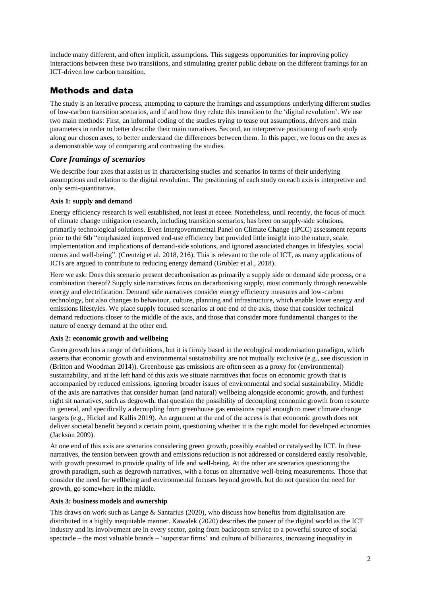include many different, and often implicit, assumptions. This suggests opportunities for improving policy interactions between these two transitions, and stimulating greater public debate on the different framings for an ICT-driven low carbon transition.

# Methods and data

The study is an iterative process, attempting to capture the framings and assumptions underlying different studies of low-carbon transition scenarios, and if and how they relate this transition to the 'digital revolution'. We use two main methods: First, an informal coding of the studies trying to tease out assumptions, drivers and main parameters in order to better describe their main narratives. Second, an interpretive positioning of each study along our chosen axes, to better understand the differences between them. In this paper, we focus on the axes as a demonstrable way of comparing and contrasting the studies.

# *Core framings of scenarios*

We describe four axes that assist us in characterising studies and scenarios in terms of their underlying assumptions and relation to the digital revolution. The positioning of each study on each axis is interpretive and only semi-quantitative.

# **Axis 1: supply and demand**

Energy efficiency research is well established, not least at eceee. Nonetheless, until recently, the focus of much of climate change mitigation research, including transition scenarios, has been on supply-side solutions, primarily technological solutions. Even Intergovernmental Panel on Climate Change (IPCC) assessment reports prior to the 6th "emphasized improved end-use efficiency but provided little insight into the nature, scale, implementation and implications of demand-side solutions, and ignored associated changes in lifestyles, social norms and well-being". (Creutzig et al. 2018, 216). This is relevant to the role of ICT, as many applications of ICTs are argued to contribute to reducing energy demand (Grubler et al., 2018).

Here we ask: Does this scenario present decarbonisation as primarily a supply side or demand side process, or a combination thereof? Supply side narratives focus on decarbonising supply, most commonly through renewable energy and electrification. Demand side narratives consider energy efficiency measures and low-carbon technology, but also changes to behaviour, culture, planning and infrastructure, which enable lower energy and emissions lifestyles. We place supply focused scenarios at one end of the axis, those that consider technical demand reductions closer to the middle of the axis, and those that consider more fundamental changes to the nature of energy demand at the other end.

### **Axis 2: economic growth and wellbeing**

Green growth has a range of definitions, but it is firmly based in the ecological modernisation paradigm, which asserts that economic growth and environmental sustainability are not mutually exclusive (e.g., see discussion in (Britton and Woodman 2014)). Greenhouse gas emissions are often seen as a proxy for (environmental) sustainability, and at the left hand of this axis we situate narratives that focus on economic growth that is accompanied by reduced emissions, ignoring broader issues of environmental and social sustainability. Middle of the axis are narratives that consider human (and natural) wellbeing alongside economic growth, and furthest right sit narratives, such as degrowth, that question the possibility of decoupling economic growth from resource in general, and specifically a decoupling from greenhouse gas emissions rapid enough to meet climate change targets (e.g., Hickel and Kallis 2019). An argument at the end of the access is that economic growth does not deliver societal benefit beyond a certain point, questioning whether it is the right model for developed economies (Jackson 2009).

At one end of this axis are scenarios considering green growth, possibly enabled or catalysed by ICT. In these narratives, the tension between growth and emissions reduction is not addressed or considered easily resolvable, with growth presumed to provide quality of life and well-being. At the other are scenarios questioning the growth paradigm, such as degrowth narratives, with a focus on alternative well-being measurements. Those that consider the need for wellbeing and environmental focuses beyond growth, but do not question the need for growth, go somewhere in the middle.

### **Axis 3: business models and ownership**

This draws on work such as Lange & Santarius (2020), who discuss how benefits from digitalisation are distributed in a highly inequitable manner. Kawalek (2020) describes the power of the digital world as the ICT industry and its involvement are in every sector, going from backroom service to a powerful source of social spectacle – the most valuable brands – 'superstar firms' and culture of billionaires, increasing inequality in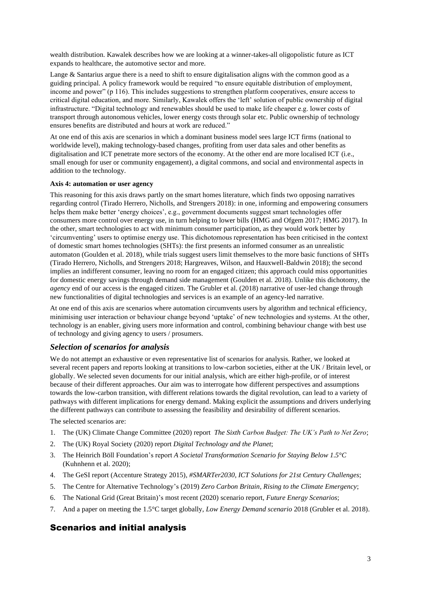wealth distribution. Kawalek describes how we are looking at a winner-takes-all oligopolistic future as ICT expands to healthcare, the automotive sector and more.

Lange & Santarius argue there is a need to shift to ensure digitalisation aligns with the common good as a guiding principal. A policy framework would be required "to ensure equitable distribution of employment, income and power" (p 116). This includes suggestions to strengthen platform cooperatives, ensure access to critical digital education, and more. Similarly, Kawalek offers the 'left' solution of public ownership of digital infrastructure. "Digital technology and renewables should be used to make life cheaper e.g. lower costs of transport through autonomous vehicles, lower energy costs through solar etc. Public ownership of technology ensures benefits are distributed and hours at work are reduced."

At one end of this axis are scenarios in which a dominant business model sees large ICT firms (national to worldwide level), making technology-based changes, profiting from user data sales and other benefits as digitalisation and ICT penetrate more sectors of the economy. At the other end are more localised ICT (i.e., small enough for user or community engagement), a digital commons, and social and environmental aspects in addition to the technology.

#### **Axis 4: automation or user agency**

This reasoning for this axis draws partly on the smart homes literature, which finds two opposing narratives regarding control (Tirado Herrero, Nicholls, and Strengers 2018): in one, informing and empowering consumers helps them make better 'energy choices', e.g., government documents suggest smart technologies offer consumers more control over energy use, in turn helping to lower bills (HMG and Ofgem 2017; HMG 2017). In the other, smart technologies to act with minimum consumer participation, as they would work better by 'circumventing' users to optimise energy use. This dichotomous representation has been criticised in the context of domestic smart homes technologies (SHTs): the first presents an informed consumer as an unrealistic automaton (Goulden et al. 2018), while trials suggest users limit themselves to the more basic functions of SHTs (Tirado Herrero, Nicholls, and Strengers 2018; Hargreaves, Wilson, and Hauxwell-Baldwin 2018); the second implies an indifferent consumer, leaving no room for an engaged citizen; this approach could miss opportunities for domestic energy savings through demand side management (Goulden et al. 2018). Unlike this dichotomy, the *agency* end of our access is the engaged citizen. The Grubler et al. (2018) narrative of user-led change through new functionalities of digital technologies and services is an example of an agency-led narrative.

At one end of this axis are scenarios where automation circumvents users by algorithm and technical efficiency, minimising user interaction or behaviour change beyond 'uptake' of new technologies and systems. At the other, technology is an enabler, giving users more information and control, combining behaviour change with best use of technology and giving agency to users / prosumers.

# *Selection of scenarios for analysis*

We do not attempt an exhaustive or even representative list of scenarios for analysis. Rather, we looked at several recent papers and reports looking at transitions to low-carbon societies, either at the UK / Britain level, or globally. We selected seven documents for our initial analysis, which are either high-profile, or of interest because of their different approaches. Our aim was to interrogate how different perspectives and assumptions towards the low-carbon transition, with different relations towards the digital revolution, can lead to a variety of pathways with different implications for energy demand. Making explicit the assumptions and drivers underlying the different pathways can contribute to assessing the feasibility and desirability of different scenarios.

The selected scenarios are:

- 1. The (UK) Climate Change Committee (2020) report *The Sixth Carbon Budget: The UK's Path to Net Zero*;
- 2. The (UK) Royal Society (2020) report *Digital Technology and the Planet*;
- 3. The Heinrich Böll Foundation's report *A Societal Transformation Scenario for Staying Below 1.5°C* (Kuhnhenn et al. 2020);
- 4. The GeSI report (Accenture Strategy 2015), *#SMARTer2030, ICT Solutions for 21st Century Challenges*;
- 5. The Centre for Alternative Technology's (2019) *Zero Carbon Britain*, *Rising to the Climate Emergency*;
- 6. The National Grid (Great Britain)'s most recent (2020) scenario report, *Future Energy Scenarios*;
- 7. And a paper on meeting the 1.5°C target globally, *Low Energy Demand scenario* 2018 (Grubler et al. 2018).

# Scenarios and initial analysis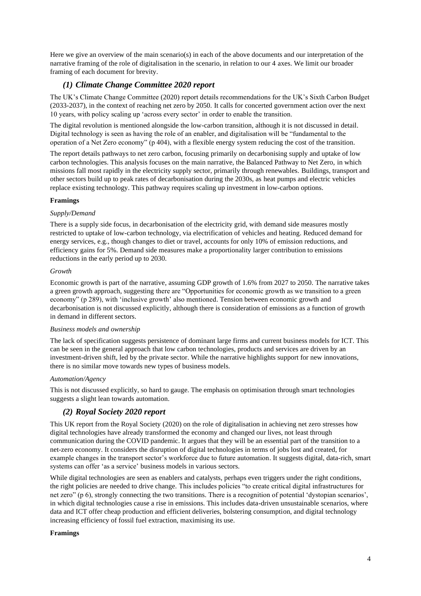Here we give an overview of the main scenario(s) in each of the above documents and our interpretation of the narrative framing of the role of digitalisation in the scenario, in relation to our 4 axes. We limit our broader framing of each document for brevity.

# *(1) Climate Change Committee 2020 report*

The UK's Climate Change Committee (2020) report details recommendations for the UK's Sixth Carbon Budget (2033-2037), in the context of reaching net zero by 2050. It calls for concerted government action over the next 10 years, with policy scaling up 'across every sector' in order to enable the transition.

The digital revolution is mentioned alongside the low-carbon transition, although it is not discussed in detail. Digital technology is seen as having the role of an enabler, and digitalisation will be "fundamental to the operation of a Net Zero economy" (p 404), with a flexible energy system reducing the cost of the transition.

The report details pathways to net zero carbon, focusing primarily on decarbonising supply and uptake of low carbon technologies. This analysis focuses on the main narrative, the Balanced Pathway to Net Zero, in which missions fall most rapidly in the electricity supply sector, primarily through renewables. Buildings, transport and other sectors build up to peak rates of decarbonisation during the 2030s, as heat pumps and electric vehicles replace existing technology. This pathway requires scaling up investment in low-carbon options.

#### **Framings**

#### *Supply/Demand*

There is a supply side focus, in decarbonisation of the electricity grid, with demand side measures mostly restricted to uptake of low-carbon technology, via electrification of vehicles and heating. Reduced demand for energy services, e.g., though changes to diet or travel, accounts for only 10% of emission reductions, and efficiency gains for 5%. Demand side measures make a proportionality larger contribution to emissions reductions in the early period up to 2030.

#### *Growth*

Economic growth is part of the narrative, assuming GDP growth of 1.6% from 2027 to 2050. The narrative takes a green growth approach, suggesting there are "Opportunities for economic growth as we transition to a green economy" (p 289), with 'inclusive growth' also mentioned. Tension between economic growth and decarbonisation is not discussed explicitly, although there is consideration of emissions as a function of growth in demand in different sectors.

#### *Business models and ownership*

The lack of specification suggests persistence of dominant large firms and current business models for ICT. This can be seen in the general approach that low carbon technologies, products and services are driven by an investment-driven shift, led by the private sector. While the narrative highlights support for new innovations, there is no similar move towards new types of business models.

#### *Automation/Agency*

This is not discussed explicitly, so hard to gauge. The emphasis on optimisation through smart technologies suggests a slight lean towards automation.

# *(2) Royal Society 2020 report*

This UK report from the Royal Society (2020) on the role of digitalisation in achieving net zero stresses how digital technologies have already transformed the economy and changed our lives, not least through communication during the COVID pandemic. It argues that they will be an essential part of the transition to a net-zero economy. It considers the disruption of digital technologies in terms of jobs lost and created, for example changes in the transport sector's workforce due to future automation. It suggests digital, data-rich, smart systems can offer 'as a service' business models in various sectors.

While digital technologies are seen as enablers and catalysts, perhaps even triggers under the right conditions, the right policies are needed to drive change. This includes policies "to create critical digital infrastructures for net zero" (p 6), strongly connecting the two transitions. There is a recognition of potential 'dystopian scenarios', in which digital technologies cause a rise in emissions. This includes data-driven unsustainable scenarios, where data and ICT offer cheap production and efficient deliveries, bolstering consumption, and digital technology increasing efficiency of fossil fuel extraction, maximising its use.

#### **Framings**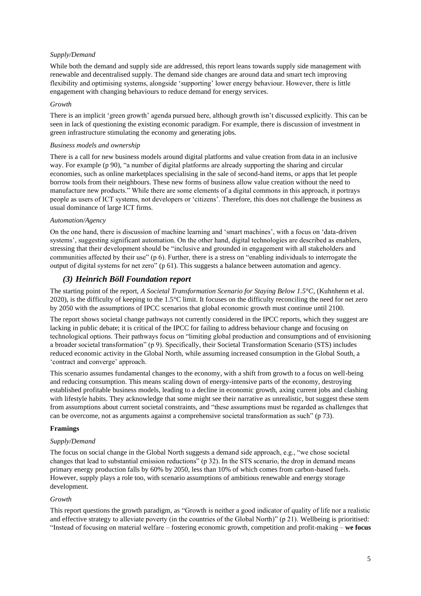#### *Supply/Demand*

While both the demand and supply side are addressed, this report leans towards supply side management with renewable and decentralised supply. The demand side changes are around data and smart tech improving flexibility and optimising systems, alongside 'supporting' lower energy behaviour. However, there is little engagement with changing behaviours to reduce demand for energy services.

#### *Growth*

There is an implicit 'green growth' agenda pursued here, although growth isn't discussed explicitly. This can be seen in lack of questioning the existing economic paradigm. For example, there is discussion of investment in green infrastructure stimulating the economy and generating jobs.

#### *Business models and ownership*

There is a call for new business models around digital platforms and value creation from data in an inclusive way. For example (p 90), "a number of digital platforms are already supporting the sharing and circular economies, such as online marketplaces specialising in the sale of second-hand items, or apps that let people borrow tools from their neighbours. These new forms of business allow value creation without the need to manufacture new products." While there are some elements of a digital commons in this approach, it portrays people as users of ICT systems, not developers or 'citizens'. Therefore, this does not challenge the business as usual dominance of large ICT firms.

#### *Automation/Agency*

On the one hand, there is discussion of machine learning and 'smart machines', with a focus on 'data-driven systems', suggesting significant automation. On the other hand, digital technologies are described as enablers, stressing that their development should be "inclusive and grounded in engagement with all stakeholders and communities affected by their use" (p 6). Further, there is a stress on "enabling individuals to interrogate the output of digital systems for net zero" (p 61). This suggests a balance between automation and agency.

#### *(3) Heinrich Böll Foundation report*

The starting point of the report, *A Societal Transformation Scenario for Staying Below 1.5°C*, (Kuhnhenn et al. 2020), is the difficulty of keeping to the 1.5°C limit. It focuses on the difficulty reconciling the need for net zero by 2050 with the assumptions of IPCC scenarios that global economic growth must continue until 2100.

The report shows societal change pathways not currently considered in the IPCC reports, which they suggest are lacking in public debate; it is critical of the IPCC for failing to address behaviour change and focusing on technological options. Their pathways focus on "limiting global production and consumptions and of envisioning a broader societal transformation" (p 9). Specifically, their Societal Transformation Scenario (STS) includes reduced economic activity in the Global North, while assuming increased consumption in the Global South, a 'contract and converge' approach.

This scenario assumes fundamental changes to the economy, with a shift from growth to a focus on well-being and reducing consumption. This means scaling down of energy-intensive parts of the economy, destroying established profitable business models, leading to a decline in economic growth, axing current jobs and clashing with lifestyle habits. They acknowledge that some might see their narrative as unrealistic, but suggest these stem from assumptions about current societal constraints, and "these assumptions must be regarded as challenges that can be overcome, not as arguments against a comprehensive societal transformation as such" (p 73).

#### **Framings**

#### *Supply/Demand*

The focus on social change in the Global North suggests a demand side approach, e.g., "we chose societal changes that lead to substantial emission reductions" (p 32). In the STS scenario, the drop in demand means primary energy production falls by 60% by 2050, less than 10% of which comes from carbon-based fuels. However, supply plays a role too, with scenario assumptions of ambitious renewable and energy storage development.

#### *Growth*

This report questions the growth paradigm, as "Growth is neither a good indicator of quality of life nor a realistic and effective strategy to alleviate poverty (in the countries of the Global North)" (p 21). Wellbeing is prioritised: "Instead of focusing on material welfare – fostering economic growth, competition and profit-making – **we focus**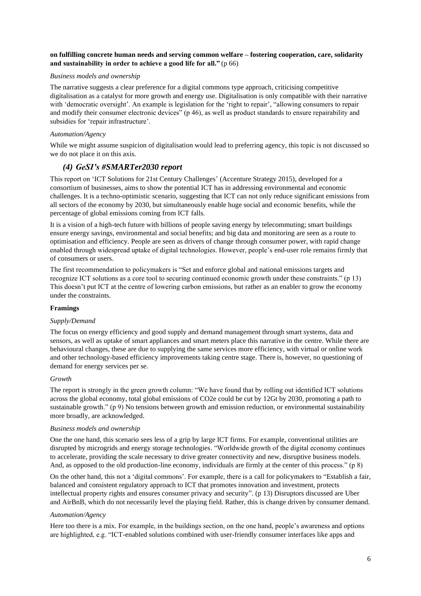#### **on fulfilling concrete human needs and serving common welfare – fostering cooperation, care, solidarity and sustainability in order to achieve a good life for all."** (p 66)

#### *Business models and ownership*

The narrative suggests a clear preference for a digital commons type approach, criticising competitive digitalisation as a catalyst for more growth and energy use. Digitalisation is only compatible with their narrative with 'democratic oversight'. An example is legislation for the 'right to repair', "allowing consumers to repair and modify their consumer electronic devices" (p 46), as well as product standards to ensure repairability and subsidies for 'repair infrastructure'.

#### *Automation/Agency*

While we might assume suspicion of digitalisation would lead to preferring agency, this topic is not discussed so we do not place it on this axis.

# *(4) GeSI's #SMARTer2030 report*

This report on 'ICT Solutions for 21st Century Challenges' (Accenture Strategy 2015), developed for a consortium of businesses, aims to show the potential ICT has in addressing environmental and economic challenges. It is a techno-optimistic scenario, suggesting that ICT can not only reduce significant emissions from all sectors of the economy by 2030, but simultaneously enable huge social and economic benefits, while the percentage of global emissions coming from ICT falls.

It is a vision of a high-tech future with billions of people saving energy by telecommuting; smart buildings ensure energy savings, environmental and social benefits; and big data and monitoring are seen as a route to optimisation and efficiency. People are seen as drivers of change through consumer power, with rapid change enabled through widespread uptake of digital technologies. However, people's end-user role remains firmly that of consumers or users.

The first recommendation to policymakers is "Set and enforce global and national emissions targets and recognize ICT solutions as a core tool to securing continued economic growth under these constraints." (p 13) This doesn't put ICT at the centre of lowering carbon emissions, but rather as an enabler to grow the economy under the constraints.

#### **Framings**

#### *Supply/Demand*

The focus on energy efficiency and good supply and demand management through smart systems, data and sensors, as well as uptake of smart appliances and smart meters place this narrative in the centre. While there are behavioural changes, these are due to supplying the same services more efficiency, with virtual or online work and other technology-based efficiency improvements taking centre stage. There is, however, no questioning of demand for energy services per se.

#### *Growth*

The report is strongly in the green growth column: "We have found that by rolling out identified ICT solutions across the global economy, total global emissions of CO2e could be cut by 12Gt by 2030, promoting a path to sustainable growth." (p 9) No tensions between growth and emission reduction, or environmental sustainability more broadly, are acknowledged.

#### *Business models and ownership*

One the one hand, this scenario sees less of a grip by large ICT firms. For example, conventional utilities are disrupted by microgrids and energy storage technologies. "Worldwide growth of the digital economy continues to accelerate, providing the scale necessary to drive greater connectivity and new, disruptive business models. And, as opposed to the old production-line economy, individuals are firmly at the center of this process." (p 8)

On the other hand, this not a 'digital commons'. For example, there is a call for policymakers to "Establish a fair, balanced and consistent regulatory approach to ICT that promotes innovation and investment, protects intellectual property rights and ensures consumer privacy and security". (p 13) Disruptors discussed are Uber and AirBnB, which do not necessarily level the playing field. Rather, this is change driven by consumer demand.

#### *Automation/Agency*

Here too there is a mix. For example, in the buildings section, on the one hand, people's awareness and options are highlighted, e.g. "ICT-enabled solutions combined with user-friendly consumer interfaces like apps and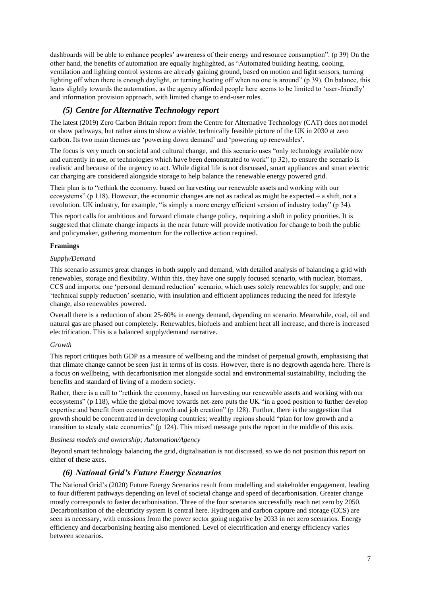dashboards will be able to enhance peoples' awareness of their energy and resource consumption". (p 39) On the other hand, the benefits of automation are equally highlighted, as "Automated building heating, cooling, ventilation and lighting control systems are already gaining ground, based on motion and light sensors, turning lighting off when there is enough daylight, or turning heating off when no one is around" (p 39). On balance, this leans slightly towards the automation, as the agency afforded people here seems to be limited to 'user-friendly' and information provision approach, with limited change to end-user roles.

# *(5) Centre for Alternative Technology report*

The latest (2019) Zero Carbon Britain report from the Centre for Alternative Technology (CAT) does not model or show pathways, but rather aims to show a viable, technically feasible picture of the UK in 2030 at zero carbon. Its two main themes are 'powering down demand' and 'powering up renewables'.

The focus is very much on societal and cultural change, and this scenario uses "only technology available now and currently in use, or technologies which have been demonstrated to work" (p 32), to ensure the scenario is realistic and because of the urgency to act. While digital life is not discussed, smart appliances and smart electric car charging are considered alongside storage to help balance the renewable energy powered grid.

Their plan is to "rethink the economy, based on harvesting our renewable assets and working with our ecosystems" (p 118). However, the economic changes are not as radical as might be expected  $-$  a shift, not a revolution. UK industry, for example, "is simply a more energy efficient version of industry today" (p 34).

This report calls for ambitious and forward climate change policy, requiring a shift in policy priorities. It is suggested that climate change impacts in the near future will provide motivation for change to both the public and policymaker, gathering momentum for the collective action required.

#### **Framings**

#### *Supply/Demand*

This scenario assumes great changes in both supply and demand, with detailed analysis of balancing a grid with renewables, storage and flexibility. Within this, they have one supply focused scenario, with nuclear, biomass, CCS and imports; one 'personal demand reduction' scenario, which uses solely renewables for supply; and one 'technical supply reduction' scenario, with insulation and efficient appliances reducing the need for lifestyle change, also renewables powered.

Overall there is a reduction of about 25-60% in energy demand, depending on scenario. Meanwhile, coal, oil and natural gas are phased out completely. Renewables, biofuels and ambient heat all increase, and there is increased electrification. This is a balanced supply/demand narrative.

#### *Growth*

This report critiques both GDP as a measure of wellbeing and the mindset of perpetual growth, emphasising that that climate change cannot be seen just in terms of its costs. However, there is no degrowth agenda here. There is a focus on wellbeing, with decarbonisation met alongside social and environmental sustainability, including the benefits and standard of living of a modern society.

Rather, there is a call to "rethink the economy, based on harvesting our renewable assets and working with our ecosystems" (p 118), while the global move towards net-zero puts the UK "in a good position to further develop expertise and benefit from economic growth and job creation" (p 128). Further, there is the suggestion that growth should be concentrated in developing countries; wealthy regions should "plan for low growth and a transition to steady state economies" (p 124). This mixed message puts the report in the middle of this axis.

#### *Business models and ownership; Automation/Agency*

Beyond smart technology balancing the grid, digitalisation is not discussed, so we do not position this report on either of these axes.

# *(6) National Grid's Future Energy Scenarios*

The National Grid's (2020) Future Energy Scenarios result from modelling and stakeholder engagement, leading to four different pathways depending on level of societal change and speed of decarbonisation. Greater change mostly corresponds to faster decarbonisation. Three of the four scenarios successfully reach net zero by 2050. Decarbonisation of the electricity system is central here. Hydrogen and carbon capture and storage (CCS) are seen as necessary, with emissions from the power sector going negative by 2033 in net zero scenarios. Energy efficiency and decarbonising heating also mentioned. Level of electrification and energy efficiency varies between scenarios.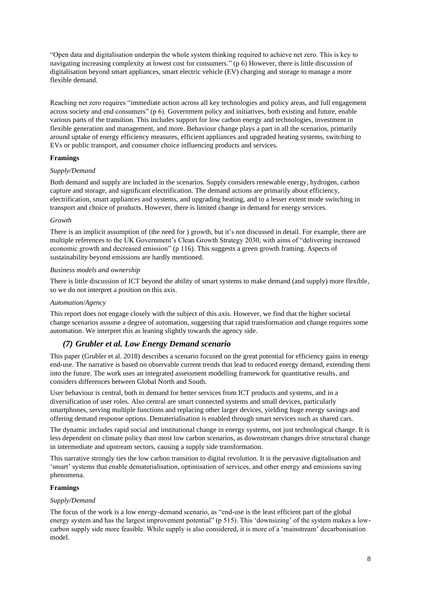"Open data and digitalisation underpin the whole system thinking required to achieve net zero. This is key to navigating increasing complexity at lowest cost for consumers." (p 6) However, there is little discussion of digitalisation beyond smart appliances, smart electric vehicle (EV) charging and storage to manage a more flexible demand.

Reaching net zero requires "immediate action across all key technologies and policy areas, and full engagement across society and end consumers" (p 6). Government policy and initiatives, both existing and future, enable various parts of the transition. This includes support for low carbon energy and technologies, investment in flexible generation and management, and more. Behaviour change plays a part in all the scenarios, primarily around uptake of energy efficiency measures, efficient appliances and upgraded heating systems, switching to EVs or public transport, and consumer choice influencing products and services.

#### **Framings**

#### *Supply/Demand*

Both demand and supply are included in the scenarios. Supply considers renewable energy, hydrogen, carbon capture and storage, and significant electrification. The demand actions are primarily about efficiency, electrification, smart appliances and systems, and upgrading heating, and to a lesser extent mode switching in transport and choice of products. However, there is limited change in demand for energy services.

#### *Growth*

There is an implicit assumption of (the need for ) growth, but it's not discussed in detail. For example, there are multiple references to the UK Government's Clean Growth Strategy 2030, with aims of "delivering increased economic growth and decreased emission" (p 116). This suggests a green growth framing. Aspects of sustainability beyond emissions are hardly mentioned.

#### *Business models and ownership*

There is little discussion of ICT beyond the ability of smart systems to make demand (and supply) more flexible, so we do not interpret a position on this axis.

#### *Automation/Agency*

This report does not engage closely with the subject of this axis. However, we find that the higher societal change scenarios assume a degree of automation, suggesting that rapid transformation and change requires some automation. We interpret this as leaning slightly towards the agency side.

### *(7) Grubler et al. Low Energy Demand scenario*

This paper (Grubler et al. 2018) describes a scenario focused on the great potential for efficiency gains in energy end-use. The narrative is based on observable current trends that lead to reduced energy demand, extending them into the future. The work uses an integrated assessment modelling framework for quantitative results, and considers differences between Global North and South.

User behaviour is central, both in demand for better services from ICT products and systems, and in a diversification of user roles. Also central are smart connected systems and small devices, particularly smartphones, serving multiple functions and replacing other larger devices, yielding huge energy savings and offering demand response options. Dematerialisation is enabled through smart services such as shared cars.

The dynamic includes rapid social and institutional change in energy systems, not just technological change. It is less dependent on climate policy than most low carbon scenarios, as downstream changes drive structural change in intermediate and upstream sectors, causing a supply side transformation.

This narrative strongly ties the low carbon transition to digital revolution. It is the pervasive digitalisation and 'smart' systems that enable dematerialisation, optimisation of services, and other energy and emissions saving phenomena.

#### **Framings**

#### *Supply/Demand*

The focus of the work is a low energy-demand scenario, as "end-use is the least efficient part of the global energy system and has the largest improvement potential" (p 515). This 'downsizing' of the system makes a lowcarbon supply side more feasible. While supply is also considered, it is more of a 'mainstream' decarbonisation model.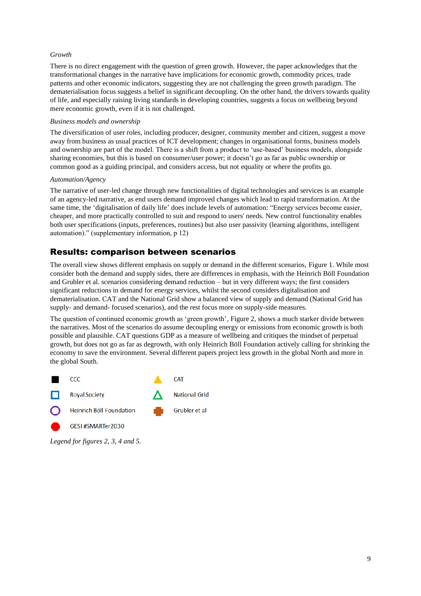#### *Growth*

There is no direct engagement with the question of green growth. However, the paper acknowledges that the transformational changes in the narrative have implications for economic growth, commodity prices, trade patterns and other economic indicators, suggesting they are not challenging the green growth paradigm. The dematerialisation focus suggests a belief in significant decoupling. On the other hand, the drivers towards quality of life, and especially raising living standards in developing countries, suggests a focus on wellbeing beyond mere economic growth, even if it is not challenged.

#### *Business models and ownership*

The diversification of user roles, including producer, designer, community member and citizen, suggest a move away from business as usual practices of ICT development; changes in organisational forms, business models and ownership are part of the model. There is a shift from a product to 'use-based' business models, alongside sharing economies, but this is based on consumer/user power; it doesn't go as far as public ownership or common good as a guiding principal, and considers access, but not equality or where the profits go.

#### *Automation/Agency*

The narrative of user-led change through new functionalities of digital technologies and services is an example of an agency-led narrative, as end users demand improved changes which lead to rapid transformation. At the same time, the 'digitalisation of daily life' does include levels of automation: "Energy services become easier, cheaper, and more practically controlled to suit and respond to users' needs. New control functionality enables both user specifications (inputs, preferences, routines) but also user passivity (learning algorithms, intelligent automation)." (supplementary information, p 12)

# Results: comparison between scenarios

The overall view shows different emphasis on supply or demand in the different scenarios, [Figure 1.](#page-9-0) While most consider both the demand and supply sides, there are differences in emphasis, with the Heinrich Böll Foundation and Grubler et al. scenarios considering demand reduction – but in very different ways; the first considers significant reductions in demand for energy services, whilst the second considers digitalisation and dematerialisation. CAT and the National Grid show a balanced view of supply and demand (National Grid has supply- and demand- focused scenarios), and the rest focus more on supply-side measures.

The question of continued economic growth as 'green growth', [Figure 2,](#page-9-1) shows a much starker divide between the narratives. Most of the scenarios do assume decoupling energy or emissions from economic growth is both possible and plausible. CAT questions GDP as a measure of wellbeing and critiques the mindset of perpetual growth, but does not go as far as degrowth, with only Heinrich Böll Foundation actively calling for shrinking the economy to save the environment. Several different papers project less growth in the global North and more in the global South.



*Legend for figures 2, 3, 4 and 5.*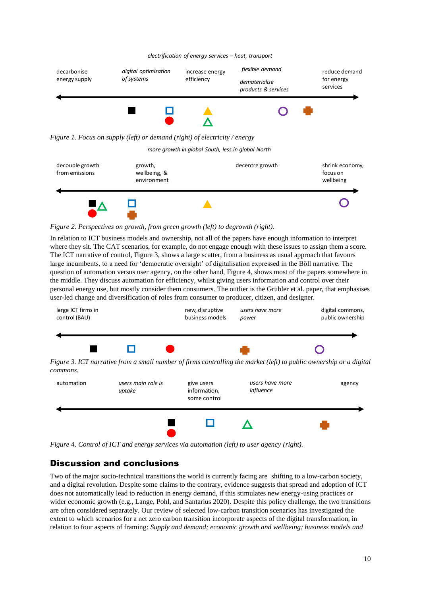#### *electrification of energy services – heat, transport*



<span id="page-9-0"></span>*Figure 1. Focus on supply (left) or demand (right) of electricity / energy*

*more growth in global South, less in global North*



<span id="page-9-1"></span>*Figure 2. Perspectives on growth, from green growth (left) to degrowth (right).*

In relation to ICT business models and ownership, not all of the papers have enough information to interpret where they sit. The CAT scenarios, for example, do not engage enough with these issues to assign them a score. The ICT narrative of control[, Figure 3,](#page-9-2) shows a large scatter, from a business as usual approach that favours large incumbents, to a need for 'democratic oversight' of digitalisation expressed in the Böll narrative. The question of automation versus user agency, on the other hand, [Figure 4,](#page-9-3) shows most of the papers somewhere in the middle. They discuss automation for efficiency, whilst giving users information and control over their personal energy use, but mostly consider them consumers. The outlier is the Grubler et al. paper, that emphasises user-led change and diversification of roles from consumer to producer, citizen, and designer.



<span id="page-9-2"></span>

<span id="page-9-3"></span>*Figure 4. Control of ICT and energy services via automation (left) to user agency (right).*

# Discussion and conclusions

Two of the major socio-technical transitions the world is currently facing are shifting to a low-carbon society, and a digital revolution. Despite some claims to the contrary, evidence suggests that spread and adoption of ICT does not automatically lead to reduction in energy demand, if this stimulates new energy-using practices or wider economic growth (e.g., Lange, Pohl, and Santarius 2020). Despite this policy challenge, the two transitions are often considered separately. Our review of selected low-carbon transition scenarios has investigated the extent to which scenarios for a net zero carbon transition incorporate aspects of the digital transformation, in relation to four aspects of framing: *Supply and demand; economic growth and wellbeing; business models and*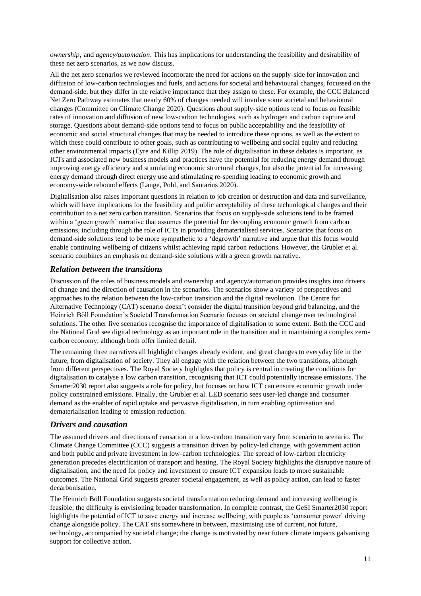*ownership;* and *agency/automation*. This has implications for understanding the feasibility and desirability of these net zero scenarios, as we now discuss.

All the net zero scenarios we reviewed incorporate the need for actions on the supply-side for innovation and diffusion of low-carbon technologies and fuels, and actions for societal and behavioural changes, focussed on the demand-side, but they differ in the relative importance that they assign to these. For example, the CCC Balanced Net Zero Pathway estimates that nearly 60% of changes needed will involve some societal and behavioural changes (Committee on Climate Change 2020). Questions about supply-side options tend to focus on feasible rates of innovation and diffusion of new low-carbon technologies, such as hydrogen and carbon capture and storage. Questions about demand-side options tend to focus on public acceptability and the feasibility of economic and social structural changes that may be needed to introduce these options, as well as the extent to which these could contribute to other goals, such as contributing to wellbeing and social equity and reducing other environmental impacts (Eyre and Killip 2019). The role of digitalisation in these debates is important, as ICTs and associated new business models and practices have the potential for reducing energy demand through improving energy efficiency and stimulating economic structural changes, but also the potential for increasing energy demand through direct energy use and stimulating re-spending leading to economic growth and economy-wide rebound effects (Lange, Pohl, and Santarius 2020).

Digitalisation also raises important questions in relation to job creation or destruction and data and surveillance, which will have implications for the feasibility and public acceptability of these technological changes and their contribution to a net zero carbon transition. Scenarios that focus on supply-side solutions tend to be framed within a 'green growth' narrative that assumes the potential for decoupling economic growth from carbon emissions, including through the role of ICTs in providing dematerialised services. Scenarios that focus on demand-side solutions tend to be more sympathetic to a 'degrowth' narrative and argue that this focus would enable continuing wellbeing of citizens whilst achieving rapid carbon reductions. However, the Grubler et al. scenario combines an emphasis on demand-side solutions with a green growth narrative.

# *Relation between the transitions*

Discussion of the roles of business models and ownership and agency/automation provides insights into drivers of change and the direction of causation in the scenarios. The scenarios show a variety of perspectives and approaches to the relation between the low-carbon transition and the digital revolution. The Centre for Alternative Technology (CAT) scenario doesn't consider the digital transition beyond grid balancing, and the Heinrich Böll Foundation's Societal Transformation Scenario focuses on societal change over technological solutions. The other five scenarios recognise the importance of digitalisation to some extent. Both the CCC and the National Grid see digital technology as an important role in the transition and in maintaining a complex zerocarbon economy, although both offer limited detail.

The remaining three narratives all highlight changes already evident, and great changes to everyday life in the future, from digitalisation of society. They all engage with the relation between the two transitions, although from different perspectives. The Royal Society highlights that policy is central in creating the conditions for digitalisation to catalyse a low carbon transition, recognising that ICT could potentially increase emissions. The Smarter2030 report also suggests a role for policy, but focuses on how ICT can ensure economic growth under policy constrained emissions. Finally, the Grubler et al. LED scenario sees user-led change and consumer demand as the enabler of rapid uptake and pervasive digitalisation, in turn enabling optimisation and dematerialisation leading to emission reduction.

### *Drivers and causation*

The assumed drivers and directions of causation in a low-carbon transition vary from scenario to scenario. The Climate Change Committee (CCC) suggests a transition driven by policy-led change, with government action and both public and private investment in low-carbon technologies. The spread of low-carbon electricity generation precedes electrification of transport and heating. The Royal Society highlights the disruptive nature of digitalisation, and the need for policy and investment to ensure ICT expansion leads to more sustainable outcomes. The National Grid suggests greater societal engagement, as well as policy action, can lead to faster decarbonisation.

The Heinrich Böll Foundation suggests societal transformation reducing demand and increasing wellbeing is feasible; the difficulty is envisioning broader transformation. In complete contrast, the GeSI Smarter2030 report highlights the potential of ICT to save energy and increase wellbeing, with people as 'consumer power' driving change alongside policy. The CAT sits somewhere in between, maximising use of current, not future, technology, accompanied by societal change; the change is motivated by near future climate impacts galvanising support for collective action.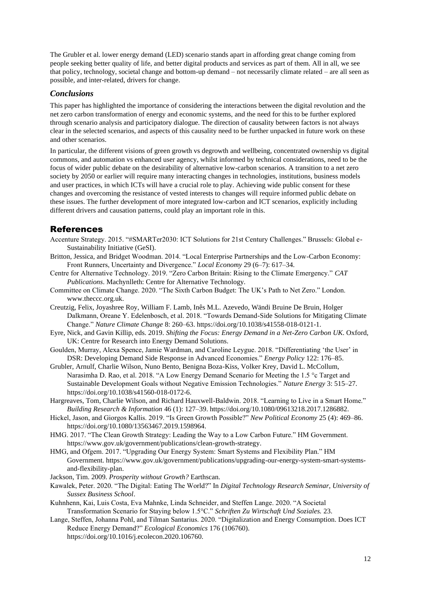The Grubler et al. lower energy demand (LED) scenario stands apart in affording great change coming from people seeking better quality of life, and better digital products and services as part of them. All in all, we see that policy, technology, societal change and bottom-up demand – not necessarily climate related – are all seen as possible, and inter-related, drivers for change.

### *Conclusions*

This paper has highlighted the importance of considering the interactions between the digital revolution and the net zero carbon transformation of energy and economic systems, and the need for this to be further explored through scenario analysis and participatory dialogue. The direction of causality between factors is not always clear in the selected scenarios, and aspects of this causality need to be further unpacked in future work on these and other scenarios.

In particular, the different visions of green growth vs degrowth and wellbeing, concentrated ownership vs digital commons, and automation vs enhanced user agency, whilst informed by technical considerations, need to be the focus of wider public debate on the desirability of alternative low-carbon scenarios. A transition to a net zero society by 2050 or earlier will require many interacting changes in technologies, institutions, business models and user practices, in which ICTs will have a crucial role to play. Achieving wide public consent for these changes and overcoming the resistance of vested interests to changes will require informed public debate on these issues. The further development of more integrated low-carbon and ICT scenarios, explicitly including different drivers and causation patterns, could play an important role in this.

# References

- Accenture Strategy. 2015. "#SMARTer2030: ICT Solutions for 21st Century Challenges." Brussels: Global e-Sustainability Initiative (GeSI).
- Britton, Jessica, and Bridget Woodman. 2014. "Local Enterprise Partnerships and the Low-Carbon Economy: Front Runners, Uncertainty and Divergence." *Local Economy* 29 (6–7): 617–34.
- Centre for Alternative Technology. 2019. "Zero Carbon Britain: Rising to the Climate Emergency." *CAT Publications*. Machynlleth: Centre for Alternative Technology.
- Committee on Climate Change. 2020. "The Sixth Carbon Budget: The UK's Path to Net Zero." London. www.theccc.org.uk.
- Creutzig, Felix, Joyashree Roy, William F. Lamb, Inês M.L. Azevedo, Wändi Bruine De Bruin, Holger Dalkmann, Oreane Y. Edelenbosch, et al. 2018. "Towards Demand-Side Solutions for Mitigating Climate Change." *Nature Climate Change* 8: 260–63. https://doi.org/10.1038/s41558-018-0121-1.
- Eyre, Nick, and Gavin Killip, eds. 2019. *Shifting the Focus: Energy Demand in a Net-Zero Carbon UK*. Oxford, UK: Centre for Research into Energy Demand Solutions.
- Goulden, Murray, Alexa Spence, Jamie Wardman, and Caroline Leygue. 2018. "Differentiating 'the User' in DSR: Developing Demand Side Response in Advanced Economies." *Energy Policy* 122: 176–85.
- Grubler, Arnulf, Charlie Wilson, Nuno Bento, Benigna Boza-Kiss, Volker Krey, David L. McCollum, Narasimha D. Rao, et al. 2018. "A Low Energy Demand Scenario for Meeting the 1.5 °c Target and Sustainable Development Goals without Negative Emission Technologies." *Nature Energy* 3: 515–27. https://doi.org/10.1038/s41560-018-0172-6.
- Hargreaves, Tom, Charlie Wilson, and Richard Hauxwell-Baldwin. 2018. "Learning to Live in a Smart Home." *Building Research & Information* 46 (1): 127–39. https://doi.org/10.1080/09613218.2017.1286882.
- Hickel, Jason, and Giorgos Kallis. 2019. "Is Green Growth Possible?" *New Political Economy* 25 (4): 469–86. https://doi.org/10.1080/13563467.2019.1598964.
- HMG. 2017. "The Clean Growth Strategy: Leading the Way to a Low Carbon Future." HM Government. https://www.gov.uk/government/publications/clean-growth-strategy.
- HMG, and Ofgem. 2017. "Upgrading Our Energy System: Smart Systems and Flexibility Plan." HM Government. https://www.gov.uk/government/publications/upgrading-our-energy-system-smart-systemsand-flexibility-plan.
- Jackson, Tim. 2009. *Prosperity without Growth?* Earthscan.

Kawalek, Peter. 2020. "The Digital: Eating The World?" In *Digital Technology Research Seminar, University of Sussex Business School*.

- Kuhnhenn, Kai, Luis Costa, Eva Mahnke, Linda Schneider, and Steffen Lange. 2020. "A Societal Transformation Scenario for Staying below 1.5°C." *Schriften Zu Wirtschaft Und Soziales.* 23.
- Lange, Steffen, Johanna Pohl, and Tilman Santarius. 2020. "Digitalization and Energy Consumption. Does ICT Reduce Energy Demand?" *Ecological Economics* 176 (106760). https://doi.org/10.1016/j.ecolecon.2020.106760.